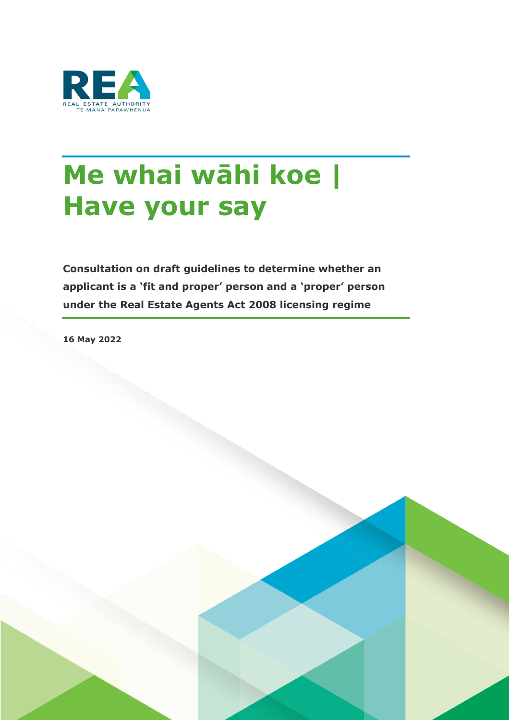

# **Me whai wāhi koe | Have your say**

**Consultation on draft guidelines to determine whether an applicant is a 'fit and proper' person and a 'proper' person under the Real Estate Agents Act 2008 licensing regime**

**16 May 2022**

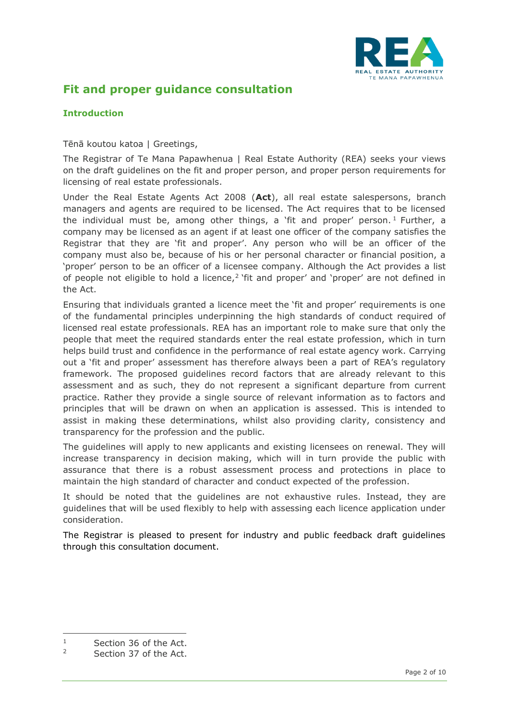

## **Fit and proper guidance consultation**

#### **Introduction**

Tēnā koutou katoa | Greetings,

The Registrar of Te Mana Papawhenua | Real Estate Authority (REA) seeks your views on the draft guidelines on the fit and proper person, and proper person requirements for licensing of real estate professionals.

Under the Real Estate Agents Act 2008 (**Act**), all real estate salespersons, branch managers and agents are required to be licensed. The Act requires that to be licensed the individual must be, among other things, a 'fit and proper' person.<sup>1</sup> Further, a company may be licensed as an agent if at least one officer of the company satisfies the Registrar that they are 'fit and proper'. Any person who will be an officer of the company must also be, because of his or her personal character or financial position, a 'proper' person to be an officer of a licensee company. Although the Act provides a list of people not eligible to hold a licence,<sup>2</sup> fit and proper' and 'proper' are not defined in the Act.

Ensuring that individuals granted a licence meet the 'fit and proper' requirements is one of the fundamental principles underpinning the high standards of conduct required of licensed real estate professionals. REA has an important role to make sure that only the people that meet the required standards enter the real estate profession, which in turn helps build trust and confidence in the performance of real estate agency work. Carrying out a 'fit and proper' assessment has therefore always been a part of REA's regulatory framework. The proposed guidelines record factors that are already relevant to this assessment and as such, they do not represent a significant departure from current practice. Rather they provide a single source of relevant information as to factors and principles that will be drawn on when an application is assessed. This is intended to assist in making these determinations, whilst also providing clarity, consistency and transparency for the profession and the public.

The guidelines will apply to new applicants and existing licensees on renewal. They will increase transparency in decision making, which will in turn provide the public with assurance that there is a robust assessment process and protections in place to maintain the high standard of character and conduct expected of the profession.

It should be noted that the guidelines are not exhaustive rules. Instead, they are guidelines that will be used flexibly to help with assessing each licence application under consideration.

The Registrar is pleased to present for industry and public feedback draft guidelines through this consultation document.

 $\frac{1}{2}$  Section 36 of the Act.

Section 37 of the Act.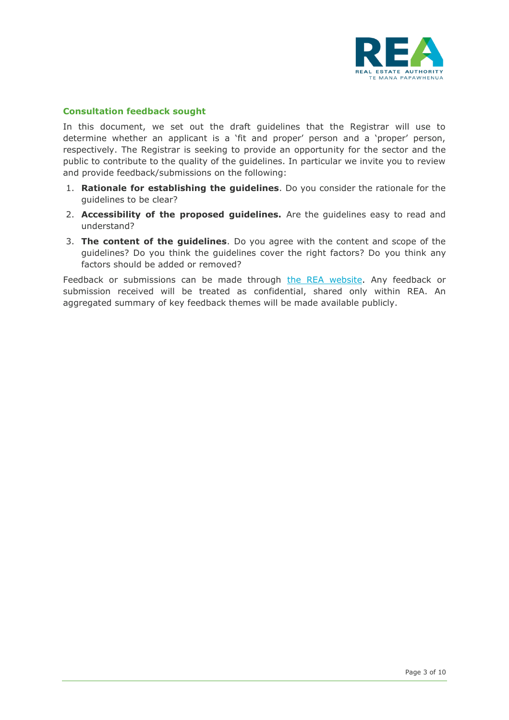

#### **Consultation feedback sought**

In this document, we set out the draft guidelines that the Registrar will use to determine whether an applicant is a 'fit and proper' person and a 'proper' person, respectively. The Registrar is seeking to provide an opportunity for the sector and the public to contribute to the quality of the guidelines. In particular we invite you to review and provide feedback/submissions on the following:

- 1. **Rationale for establishing the guidelines**. Do you consider the rationale for the guidelines to be clear?
- 2. **Accessibility of the proposed guidelines.** Are the guidelines easy to read and understand?
- 3. **The content of the guidelines**. Do you agree with the content and scope of the guidelines? Do you think the guidelines cover the right factors? Do you think any factors should be added or removed?

Feedback or submissions can be made through [the REA website.](https://www.rea.govt.nz/fit-and-proper-consultation/) Any feedback or submission received will be treated as confidential, shared only within REA. An aggregated summary of key feedback themes will be made available publicly.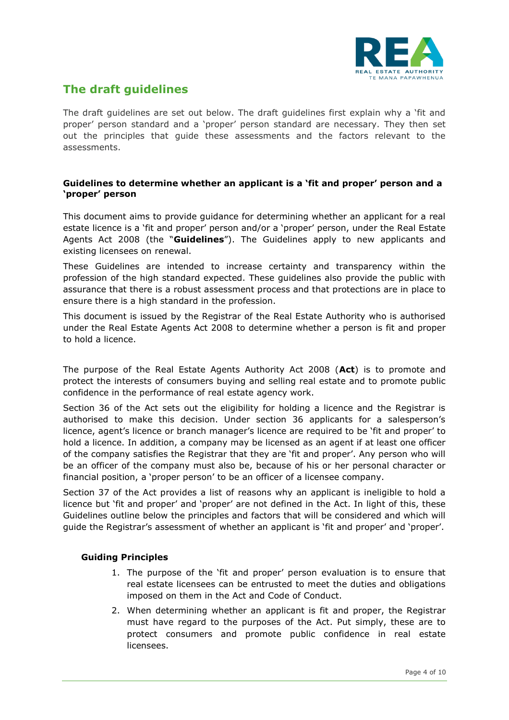

# **The draft guidelines**

The draft guidelines are set out below. The draft guidelines first explain why a 'fit and proper' person standard and a 'proper' person standard are necessary. They then set out the principles that guide these assessments and the factors relevant to the assessments.

#### **Guidelines to determine whether an applicant is a 'fit and proper' person and a 'proper' person**

This document aims to provide guidance for determining whether an applicant for a real estate licence is a 'fit and proper' person and/or a 'proper' person, under the Real Estate Agents Act 2008 (the "**Guidelines**"). The Guidelines apply to new applicants and existing licensees on renewal.

These Guidelines are intended to increase certainty and transparency within the profession of the high standard expected. These guidelines also provide the public with assurance that there is a robust assessment process and that protections are in place to ensure there is a high standard in the profession.

This document is issued by the Registrar of the Real Estate Authority who is authorised under the Real Estate Agents Act 2008 to determine whether a person is fit and proper to hold a licence.

The purpose of the Real Estate Agents Authority Act 2008 (**Act**) is to promote and protect the interests of consumers buying and selling real estate and to promote public confidence in the performance of real estate agency work.

Section 36 of the Act sets out the eligibility for holding a licence and the Registrar is authorised to make this decision. Under section 36 applicants for a salesperson's licence, agent's licence or branch manager's licence are required to be 'fit and proper' to hold a licence. In addition, a company may be licensed as an agent if at least one officer of the company satisfies the Registrar that they are 'fit and proper'. Any person who will be an officer of the company must also be, because of his or her personal character or financial position, a 'proper person' to be an officer of a licensee company.

Section 37 of the Act provides a list of reasons why an applicant is ineligible to hold a licence but 'fit and proper' and 'proper' are not defined in the Act. In light of this, these Guidelines outline below the principles and factors that will be considered and which will guide the Registrar's assessment of whether an applicant is 'fit and proper' and 'proper'.

#### **Guiding Principles**

- 1. The purpose of the 'fit and proper' person evaluation is to ensure that real estate licensees can be entrusted to meet the duties and obligations imposed on them in the Act and Code of Conduct.
- 2. When determining whether an applicant is fit and proper, the Registrar must have regard to the purposes of the Act. Put simply, these are to protect consumers and promote public confidence in real estate licensees.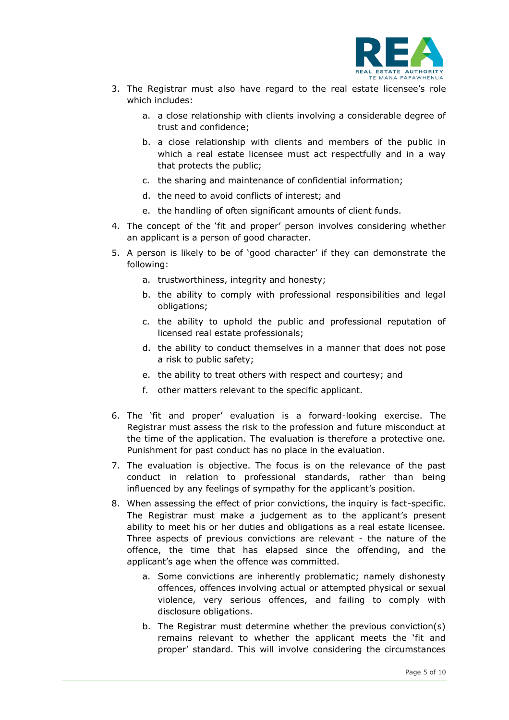

- 3. The Registrar must also have regard to the real estate licensee's role which includes:
	- a. a close relationship with clients involving a considerable degree of trust and confidence;
	- b. a close relationship with clients and members of the public in which a real estate licensee must act respectfully and in a way that protects the public;
	- c. the sharing and maintenance of confidential information;
	- d. the need to avoid conflicts of interest; and
	- e. the handling of often significant amounts of client funds.
- 4. The concept of the 'fit and proper' person involves considering whether an applicant is a person of good character.
- 5. A person is likely to be of 'good character' if they can demonstrate the following:
	- a. trustworthiness, integrity and honesty;
	- b. the ability to comply with professional responsibilities and legal obligations;
	- c. the ability to uphold the public and professional reputation of licensed real estate professionals;
	- d. the ability to conduct themselves in a manner that does not pose a risk to public safety;
	- e. the ability to treat others with respect and courtesy; and
	- f. other matters relevant to the specific applicant.
- 6. The 'fit and proper' evaluation is a forward-looking exercise. The Registrar must assess the risk to the profession and future misconduct at the time of the application. The evaluation is therefore a protective one. Punishment for past conduct has no place in the evaluation.
- 7. The evaluation is objective. The focus is on the relevance of the past conduct in relation to professional standards, rather than being influenced by any feelings of sympathy for the applicant's position.
- 8. When assessing the effect of prior convictions, the inquiry is fact-specific. The Registrar must make a judgement as to the applicant's present ability to meet his or her duties and obligations as a real estate licensee. Three aspects of previous convictions are relevant - the nature of the offence, the time that has elapsed since the offending, and the applicant's age when the offence was committed.
	- a. Some convictions are inherently problematic; namely dishonesty offences, offences involving actual or attempted physical or sexual violence, very serious offences, and failing to comply with disclosure obligations.
	- b. The Registrar must determine whether the previous conviction(s) remains relevant to whether the applicant meets the 'fit and proper' standard. This will involve considering the circumstances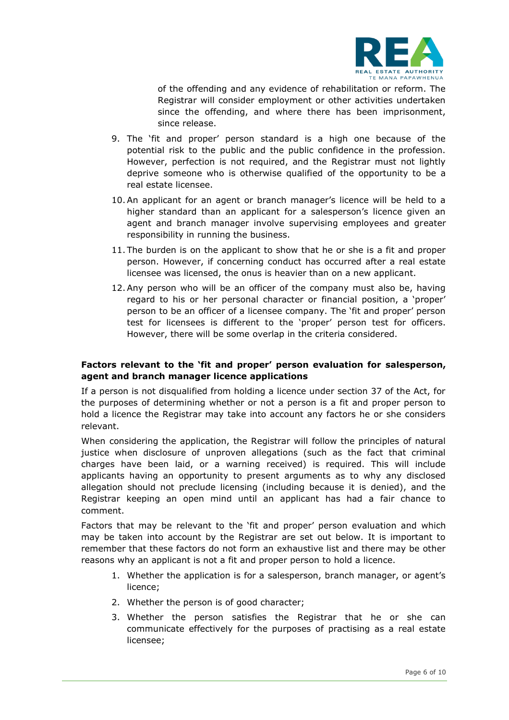

of the offending and any evidence of rehabilitation or reform. The Registrar will consider employment or other activities undertaken since the offending, and where there has been imprisonment, since release.

- 9. The 'fit and proper' person standard is a high one because of the potential risk to the public and the public confidence in the profession. However, perfection is not required, and the Registrar must not lightly deprive someone who is otherwise qualified of the opportunity to be a real estate licensee.
- 10.An applicant for an agent or branch manager's licence will be held to a higher standard than an applicant for a salesperson's licence given an agent and branch manager involve supervising employees and greater responsibility in running the business.
- 11. The burden is on the applicant to show that he or she is a fit and proper person. However, if concerning conduct has occurred after a real estate licensee was licensed, the onus is heavier than on a new applicant.
- 12.Any person who will be an officer of the company must also be, having regard to his or her personal character or financial position, a 'proper' person to be an officer of a licensee company. The 'fit and proper' person test for licensees is different to the 'proper' person test for officers. However, there will be some overlap in the criteria considered.

#### **Factors relevant to the 'fit and proper' person evaluation for salesperson, agent and branch manager licence applications**

If a person is not disqualified from holding a licence under section 37 of the Act, for the purposes of determining whether or not a person is a fit and proper person to hold a licence the Registrar may take into account any factors he or she considers relevant.

When considering the application, the Registrar will follow the principles of natural justice when disclosure of unproven allegations (such as the fact that criminal charges have been laid, or a warning received) is required. This will include applicants having an opportunity to present arguments as to why any disclosed allegation should not preclude licensing (including because it is denied), and the Registrar keeping an open mind until an applicant has had a fair chance to comment.

Factors that may be relevant to the 'fit and proper' person evaluation and which may be taken into account by the Registrar are set out below. It is important to remember that these factors do not form an exhaustive list and there may be other reasons why an applicant is not a fit and proper person to hold a licence.

- 1. Whether the application is for a salesperson, branch manager, or agent's licence;
- 2. Whether the person is of good character;
- 3. Whether the person satisfies the Registrar that he or she can communicate effectively for the purposes of practising as a real estate licensee;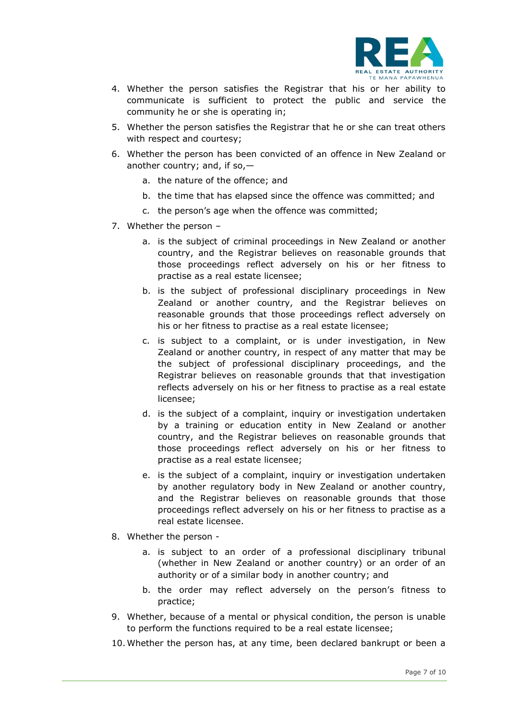

- 4. Whether the person satisfies the Registrar that his or her ability to communicate is sufficient to protect the public and service the community he or she is operating in;
- 5. Whether the person satisfies the Registrar that he or she can treat others with respect and courtesy;
- 6. Whether the person has been convicted of an offence in New Zealand or another country; and, if so,
	- a. the nature of the offence; and
	- b. the time that has elapsed since the offence was committed; and
	- c. the person's age when the offence was committed;
- 7. Whether the person
	- a. is the subject of criminal proceedings in New Zealand or another country, and the Registrar believes on reasonable grounds that those proceedings reflect adversely on his or her fitness to practise as a real estate licensee;
	- b. is the subject of professional disciplinary proceedings in New Zealand or another country, and the Registrar believes on reasonable grounds that those proceedings reflect adversely on his or her fitness to practise as a real estate licensee;
	- c. is subject to a complaint, or is under investigation, in New Zealand or another country, in respect of any matter that may be the subject of professional disciplinary proceedings, and the Registrar believes on reasonable grounds that that investigation reflects adversely on his or her fitness to practise as a real estate licensee;
	- d. is the subject of a complaint, inquiry or investigation undertaken by a training or education entity in New Zealand or another country, and the Registrar believes on reasonable grounds that those proceedings reflect adversely on his or her fitness to practise as a real estate licensee;
	- e. is the subject of a complaint, inquiry or investigation undertaken by another regulatory body in New Zealand or another country, and the Registrar believes on reasonable grounds that those proceedings reflect adversely on his or her fitness to practise as a real estate licensee.
- 8. Whether the person
	- a. is subject to an order of a professional disciplinary tribunal (whether in New Zealand or another country) or an order of an authority or of a similar body in another country; and
	- b. the order may reflect adversely on the person's fitness to practice;
- 9. Whether, because of a mental or physical condition, the person is unable to perform the functions required to be a real estate licensee;
- 10. Whether the person has, at any time, been declared bankrupt or been a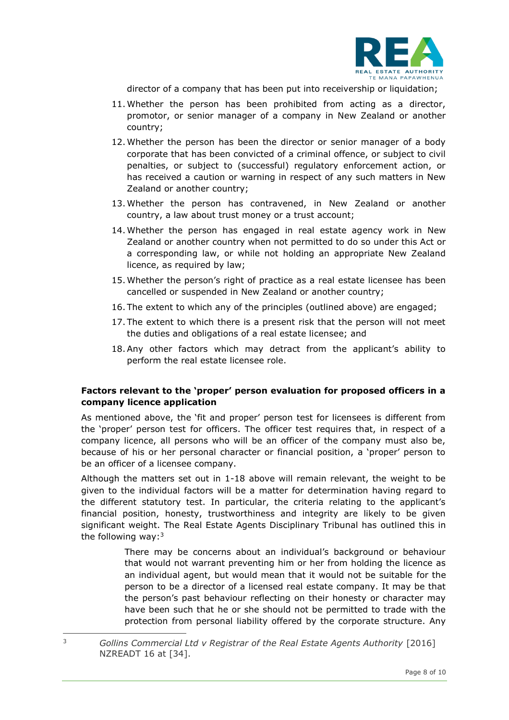

director of a company that has been put into receivership or liquidation;

- 11. Whether the person has been prohibited from acting as a director, promotor, or senior manager of a company in New Zealand or another country;
- 12. Whether the person has been the director or senior manager of a body corporate that has been convicted of a criminal offence, or subject to civil penalties, or subject to (successful) regulatory enforcement action, or has received a caution or warning in respect of any such matters in New Zealand or another country;
- 13. Whether the person has contravened, in New Zealand or another country, a law about trust money or a trust account;
- 14. Whether the person has engaged in real estate agency work in New Zealand or another country when not permitted to do so under this Act or a corresponding law, or while not holding an appropriate New Zealand licence, as required by law;
- 15. Whether the person's right of practice as a real estate licensee has been cancelled or suspended in New Zealand or another country;
- 16. The extent to which any of the principles (outlined above) are engaged;
- 17. The extent to which there is a present risk that the person will not meet the duties and obligations of a real estate licensee; and
- 18.Any other factors which may detract from the applicant's ability to perform the real estate licensee role.

#### **Factors relevant to the 'proper' person evaluation for proposed officers in a company licence application**

As mentioned above, the 'fit and proper' person test for licensees is different from the 'proper' person test for officers. The officer test requires that, in respect of a company licence, all persons who will be an officer of the company must also be, because of his or her personal character or financial position, a 'proper' person to be an officer of a licensee company.

Although the matters set out in 1-18 above will remain relevant, the weight to be given to the individual factors will be a matter for determination having regard to the different statutory test. In particular, the criteria relating to the applicant's financial position, honesty, trustworthiness and integrity are likely to be given significant weight. The Real Estate Agents Disciplinary Tribunal has outlined this in the following way: $3$ 

> There may be concerns about an individual's background or behaviour that would not warrant preventing him or her from holding the licence as an individual agent, but would mean that it would not be suitable for the person to be a director of a licensed real estate company. It may be that the person's past behaviour reflecting on their honesty or character may have been such that he or she should not be permitted to trade with the protection from personal liability offered by the corporate structure. Any

<sup>3</sup> *Gollins Commercial Ltd v Registrar of the Real Estate Agents Authority* [2016] NZREADT 16 at [34].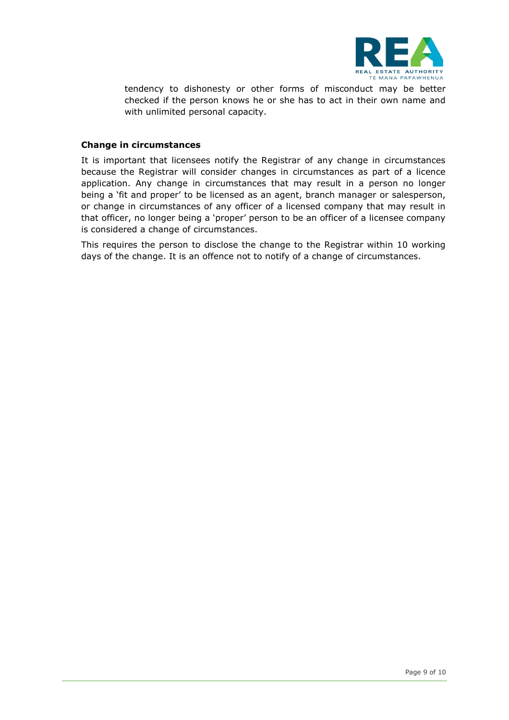

tendency to dishonesty or other forms of misconduct may be better checked if the person knows he or she has to act in their own name and with unlimited personal capacity.

#### **Change in circumstances**

It is important that licensees notify the Registrar of any change in circumstances because the Registrar will consider changes in circumstances as part of a licence application. Any change in circumstances that may result in a person no longer being a 'fit and proper' to be licensed as an agent, branch manager or salesperson, or change in circumstances of any officer of a licensed company that may result in that officer, no longer being a 'proper' person to be an officer of a licensee company is considered a change of circumstances.

This requires the person to disclose the change to the Registrar within 10 working days of the change. It is an offence not to notify of a change of circumstances.